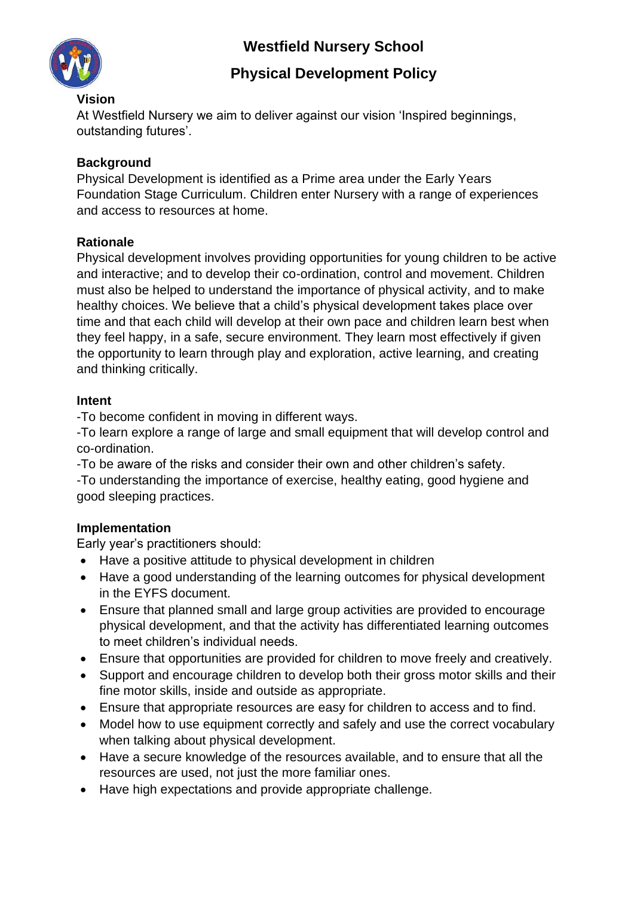# **Westfield Nursery School**



# **Physical Development Policy**

#### **Vision**

At Westfield Nursery we aim to deliver against our vision 'Inspired beginnings, outstanding futures'.

## **Background**

Physical Development is identified as a Prime area under the Early Years Foundation Stage Curriculum. Children enter Nursery with a range of experiences and access to resources at home.

## **Rationale**

Physical development involves providing opportunities for young children to be active and interactive; and to develop their co-ordination, control and movement. Children must also be helped to understand the importance of physical activity, and to make healthy choices. We believe that a child's physical development takes place over time and that each child will develop at their own pace and children learn best when they feel happy, in a safe, secure environment. They learn most effectively if given the opportunity to learn through play and exploration, active learning, and creating and thinking critically.

## **Intent**

-To become confident in moving in different ways.

-To learn explore a range of large and small equipment that will develop control and co-ordination.

-To be aware of the risks and consider their own and other children's safety.

-To understanding the importance of exercise, healthy eating, good hygiene and good sleeping practices.

## **Implementation**

Early year's practitioners should:

- Have a positive attitude to physical development in children
- Have a good understanding of the learning outcomes for physical development in the EYFS document.
- Ensure that planned small and large group activities are provided to encourage physical development, and that the activity has differentiated learning outcomes to meet children's individual needs.
- Ensure that opportunities are provided for children to move freely and creatively.
- Support and encourage children to develop both their gross motor skills and their fine motor skills, inside and outside as appropriate.
- Ensure that appropriate resources are easy for children to access and to find.
- Model how to use equipment correctly and safely and use the correct vocabulary when talking about physical development.
- Have a secure knowledge of the resources available, and to ensure that all the resources are used, not just the more familiar ones.
- Have high expectations and provide appropriate challenge.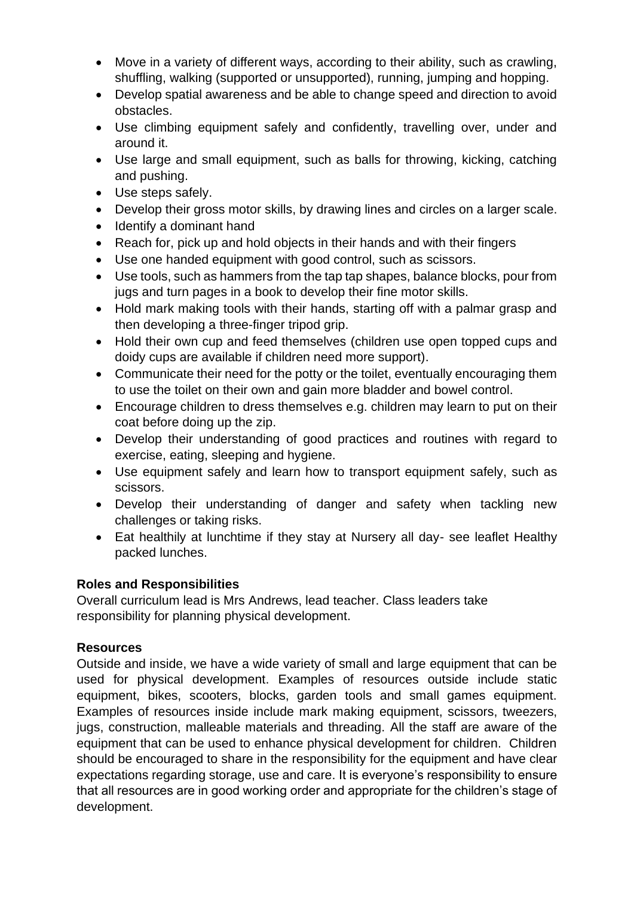- Move in a variety of different ways, according to their ability, such as crawling, shuffling, walking (supported or unsupported), running, jumping and hopping.
- Develop spatial awareness and be able to change speed and direction to avoid obstacles.
- Use climbing equipment safely and confidently, travelling over, under and around it.
- Use large and small equipment, such as balls for throwing, kicking, catching and pushing.
- Use steps safely.
- Develop their gross motor skills, by drawing lines and circles on a larger scale.
- Identify a dominant hand
- Reach for, pick up and hold objects in their hands and with their fingers
- Use one handed equipment with good control, such as scissors.
- Use tools, such as hammers from the tap tap shapes, balance blocks, pour from jugs and turn pages in a book to develop their fine motor skills.
- Hold mark making tools with their hands, starting off with a palmar grasp and then developing a three-finger tripod grip.
- Hold their own cup and feed themselves (children use open topped cups and doidy cups are available if children need more support).
- Communicate their need for the potty or the toilet, eventually encouraging them to use the toilet on their own and gain more bladder and bowel control.
- Encourage children to dress themselves e.g. children may learn to put on their coat before doing up the zip.
- Develop their understanding of good practices and routines with regard to exercise, eating, sleeping and hygiene.
- Use equipment safely and learn how to transport equipment safely, such as scissors.
- Develop their understanding of danger and safety when tackling new challenges or taking risks.
- Eat healthily at lunchtime if they stay at Nursery all day- see leaflet Healthy packed lunches.

## **Roles and Responsibilities**

Overall curriculum lead is Mrs Andrews, lead teacher. Class leaders take responsibility for planning physical development.

## **Resources**

Outside and inside, we have a wide variety of small and large equipment that can be used for physical development. Examples of resources outside include static equipment, bikes, scooters, blocks, garden tools and small games equipment. Examples of resources inside include mark making equipment, scissors, tweezers, jugs, construction, malleable materials and threading. All the staff are aware of the equipment that can be used to enhance physical development for children. Children should be encouraged to share in the responsibility for the equipment and have clear expectations regarding storage, use and care. It is everyone's responsibility to ensure that all resources are in good working order and appropriate for the children's stage of development.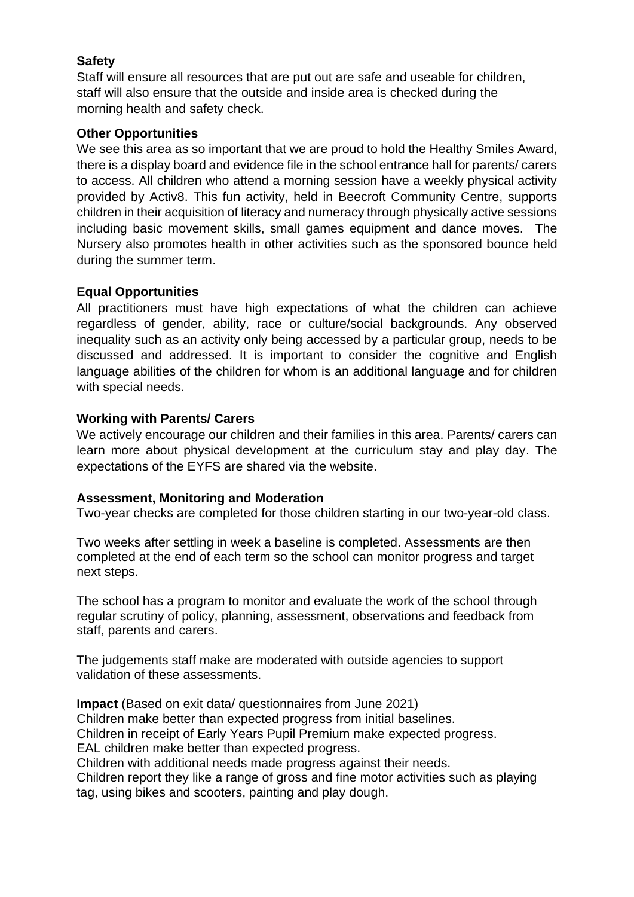#### **Safety**

Staff will ensure all resources that are put out are safe and useable for children, staff will also ensure that the outside and inside area is checked during the morning health and safety check.

#### **Other Opportunities**

We see this area as so important that we are proud to hold the Healthy Smiles Award, there is a display board and evidence file in the school entrance hall for parents/ carers to access. All children who attend a morning session have a weekly physical activity provided by Activ8. This fun activity, held in Beecroft Community Centre, supports children in their acquisition of literacy and numeracy through physically active sessions including basic movement skills, small games equipment and dance moves. The Nursery also promotes health in other activities such as the sponsored bounce held during the summer term.

#### **Equal Opportunities**

All practitioners must have high expectations of what the children can achieve regardless of gender, ability, race or culture/social backgrounds. Any observed inequality such as an activity only being accessed by a particular group, needs to be discussed and addressed. It is important to consider the cognitive and English language abilities of the children for whom is an additional language and for children with special needs.

#### **Working with Parents/ Carers**

We actively encourage our children and their families in this area. Parents/ carers can learn more about physical development at the curriculum stay and play day. The expectations of the EYFS are shared via the website.

#### **Assessment, Monitoring and Moderation**

Two-year checks are completed for those children starting in our two-year-old class.

Two weeks after settling in week a baseline is completed. Assessments are then completed at the end of each term so the school can monitor progress and target next steps.

The school has a program to monitor and evaluate the work of the school through regular scrutiny of policy, planning, assessment, observations and feedback from staff, parents and carers.

The judgements staff make are moderated with outside agencies to support validation of these assessments.

**Impact** (Based on exit data/ questionnaires from June 2021) Children make better than expected progress from initial baselines. Children in receipt of Early Years Pupil Premium make expected progress. EAL children make better than expected progress. Children with additional needs made progress against their needs. Children report they like a range of gross and fine motor activities such as playing tag, using bikes and scooters, painting and play dough.